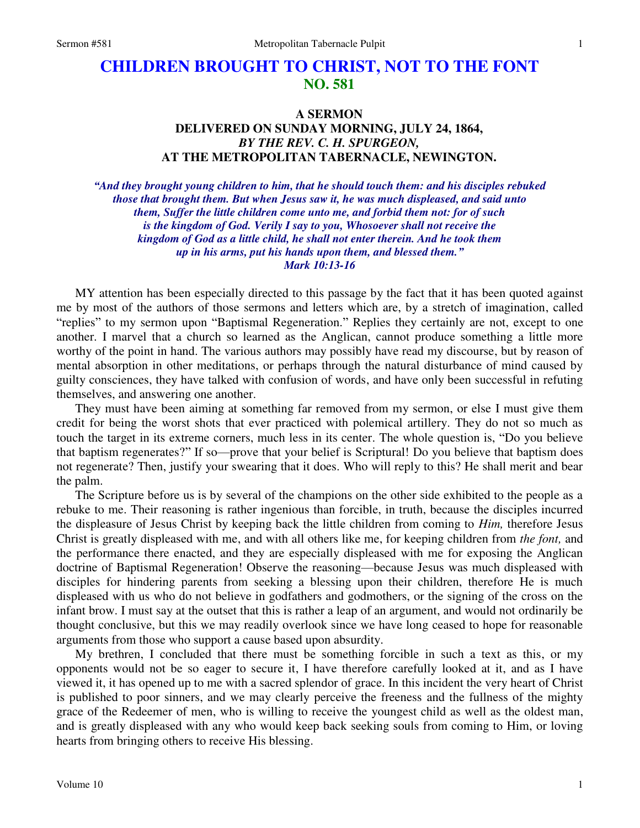## **CHILDREN BROUGHT TO CHRIST, NOT TO THE FONT NO. 581**

## **A SERMON DELIVERED ON SUNDAY MORNING, JULY 24, 1864,**  *BY THE REV. C. H. SPURGEON,*  **AT THE METROPOLITAN TABERNACLE, NEWINGTON.**

*"And they brought young children to him, that he should touch them: and his disciples rebuked those that brought them. But when Jesus saw it, he was much displeased, and said unto them, Suffer the little children come unto me, and forbid them not: for of such is the kingdom of God. Verily I say to you, Whosoever shall not receive the kingdom of God as a little child, he shall not enter therein. And he took them up in his arms, put his hands upon them, and blessed them." Mark 10:13-16* 

MY attention has been especially directed to this passage by the fact that it has been quoted against me by most of the authors of those sermons and letters which are, by a stretch of imagination, called "replies" to my sermon upon "Baptismal Regeneration." Replies they certainly are not, except to one another. I marvel that a church so learned as the Anglican, cannot produce something a little more worthy of the point in hand. The various authors may possibly have read my discourse, but by reason of mental absorption in other meditations, or perhaps through the natural disturbance of mind caused by guilty consciences, they have talked with confusion of words, and have only been successful in refuting themselves, and answering one another.

They must have been aiming at something far removed from my sermon, or else I must give them credit for being the worst shots that ever practiced with polemical artillery. They do not so much as touch the target in its extreme corners, much less in its center. The whole question is, "Do you believe that baptism regenerates?" If so—prove that your belief is Scriptural! Do you believe that baptism does not regenerate? Then, justify your swearing that it does. Who will reply to this? He shall merit and bear the palm.

The Scripture before us is by several of the champions on the other side exhibited to the people as a rebuke to me. Their reasoning is rather ingenious than forcible, in truth, because the disciples incurred the displeasure of Jesus Christ by keeping back the little children from coming to *Him,* therefore Jesus Christ is greatly displeased with me, and with all others like me, for keeping children from *the font,* and the performance there enacted, and they are especially displeased with me for exposing the Anglican doctrine of Baptismal Regeneration! Observe the reasoning—because Jesus was much displeased with disciples for hindering parents from seeking a blessing upon their children, therefore He is much displeased with us who do not believe in godfathers and godmothers, or the signing of the cross on the infant brow. I must say at the outset that this is rather a leap of an argument, and would not ordinarily be thought conclusive, but this we may readily overlook since we have long ceased to hope for reasonable arguments from those who support a cause based upon absurdity.

My brethren, I concluded that there must be something forcible in such a text as this, or my opponents would not be so eager to secure it, I have therefore carefully looked at it, and as I have viewed it, it has opened up to me with a sacred splendor of grace. In this incident the very heart of Christ is published to poor sinners, and we may clearly perceive the freeness and the fullness of the mighty grace of the Redeemer of men, who is willing to receive the youngest child as well as the oldest man, and is greatly displeased with any who would keep back seeking souls from coming to Him, or loving hearts from bringing others to receive His blessing.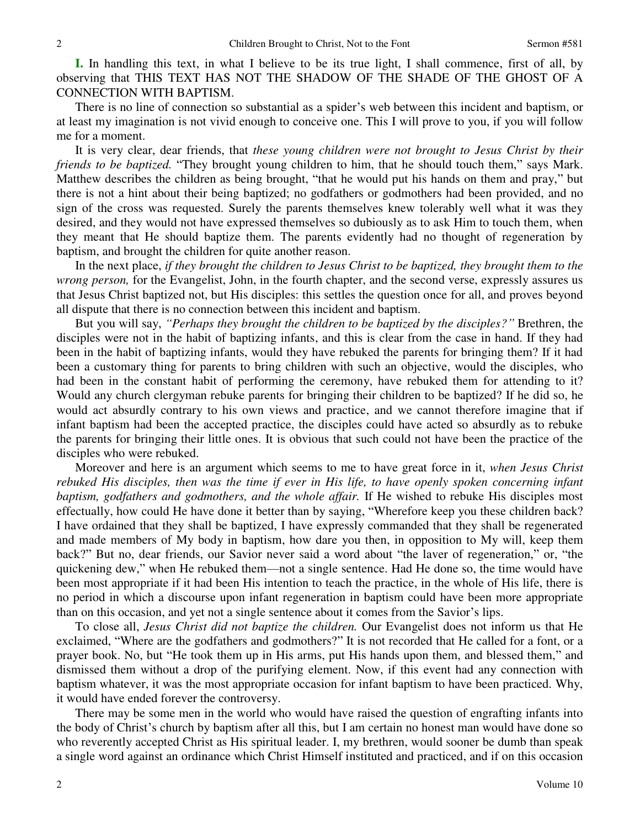**I.** In handling this text, in what I believe to be its true light, I shall commence, first of all, by observing that THIS TEXT HAS NOT THE SHADOW OF THE SHADE OF THE GHOST OF A CONNECTION WITH BAPTISM.

There is no line of connection so substantial as a spider's web between this incident and baptism, or at least my imagination is not vivid enough to conceive one. This I will prove to you, if you will follow me for a moment.

It is very clear, dear friends, that *these young children were not brought to Jesus Christ by their friends to be baptized.* "They brought young children to him, that he should touch them," says Mark. Matthew describes the children as being brought, "that he would put his hands on them and pray," but there is not a hint about their being baptized; no godfathers or godmothers had been provided, and no sign of the cross was requested. Surely the parents themselves knew tolerably well what it was they desired, and they would not have expressed themselves so dubiously as to ask Him to touch them, when they meant that He should baptize them. The parents evidently had no thought of regeneration by baptism, and brought the children for quite another reason.

In the next place, *if they brought the children to Jesus Christ to be baptized, they brought them to the wrong person,* for the Evangelist, John, in the fourth chapter, and the second verse, expressly assures us that Jesus Christ baptized not, but His disciples: this settles the question once for all, and proves beyond all dispute that there is no connection between this incident and baptism.

But you will say, *"Perhaps they brought the children to be baptized by the disciples?"* Brethren, the disciples were not in the habit of baptizing infants, and this is clear from the case in hand. If they had been in the habit of baptizing infants, would they have rebuked the parents for bringing them? If it had been a customary thing for parents to bring children with such an objective, would the disciples, who had been in the constant habit of performing the ceremony, have rebuked them for attending to it? Would any church clergyman rebuke parents for bringing their children to be baptized? If he did so, he would act absurdly contrary to his own views and practice, and we cannot therefore imagine that if infant baptism had been the accepted practice, the disciples could have acted so absurdly as to rebuke the parents for bringing their little ones. It is obvious that such could not have been the practice of the disciples who were rebuked.

Moreover and here is an argument which seems to me to have great force in it, *when Jesus Christ rebuked His disciples, then was the time if ever in His life, to have openly spoken concerning infant baptism, godfathers and godmothers, and the whole affair.* If He wished to rebuke His disciples most effectually, how could He have done it better than by saying, "Wherefore keep you these children back? I have ordained that they shall be baptized, I have expressly commanded that they shall be regenerated and made members of My body in baptism, how dare you then, in opposition to My will, keep them back?" But no, dear friends, our Savior never said a word about "the laver of regeneration," or, "the quickening dew," when He rebuked them—not a single sentence. Had He done so, the time would have been most appropriate if it had been His intention to teach the practice, in the whole of His life, there is no period in which a discourse upon infant regeneration in baptism could have been more appropriate than on this occasion, and yet not a single sentence about it comes from the Savior's lips.

To close all, *Jesus Christ did not baptize the children.* Our Evangelist does not inform us that He exclaimed, "Where are the godfathers and godmothers?" It is not recorded that He called for a font, or a prayer book. No, but "He took them up in His arms, put His hands upon them, and blessed them," and dismissed them without a drop of the purifying element. Now, if this event had any connection with baptism whatever, it was the most appropriate occasion for infant baptism to have been practiced. Why, it would have ended forever the controversy.

There may be some men in the world who would have raised the question of engrafting infants into the body of Christ's church by baptism after all this, but I am certain no honest man would have done so who reverently accepted Christ as His spiritual leader. I, my brethren, would sooner be dumb than speak a single word against an ordinance which Christ Himself instituted and practiced, and if on this occasion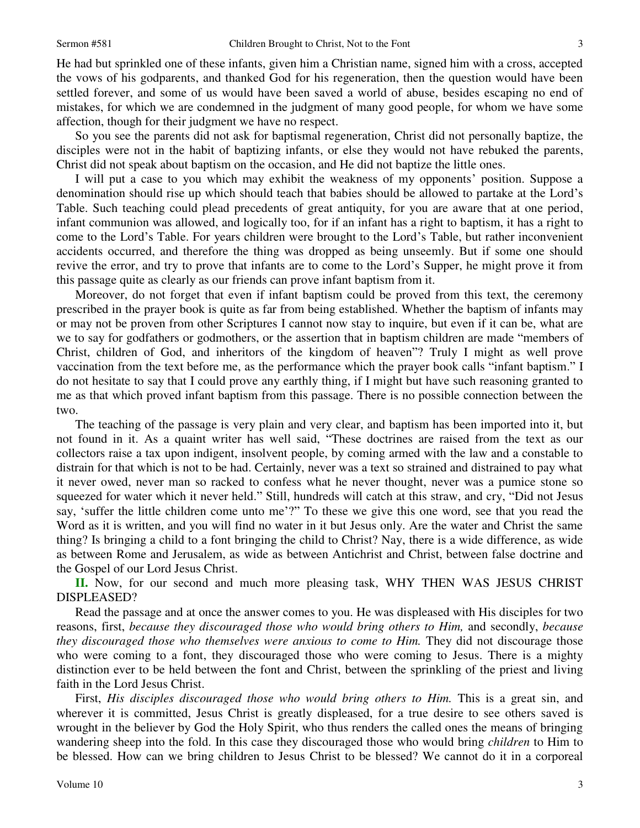He had but sprinkled one of these infants, given him a Christian name, signed him with a cross, accepted the vows of his godparents, and thanked God for his regeneration, then the question would have been settled forever, and some of us would have been saved a world of abuse, besides escaping no end of mistakes, for which we are condemned in the judgment of many good people, for whom we have some affection, though for their judgment we have no respect.

So you see the parents did not ask for baptismal regeneration, Christ did not personally baptize, the disciples were not in the habit of baptizing infants, or else they would not have rebuked the parents, Christ did not speak about baptism on the occasion, and He did not baptize the little ones.

I will put a case to you which may exhibit the weakness of my opponents' position. Suppose a denomination should rise up which should teach that babies should be allowed to partake at the Lord's Table. Such teaching could plead precedents of great antiquity, for you are aware that at one period, infant communion was allowed, and logically too, for if an infant has a right to baptism, it has a right to come to the Lord's Table. For years children were brought to the Lord's Table, but rather inconvenient accidents occurred, and therefore the thing was dropped as being unseemly. But if some one should revive the error, and try to prove that infants are to come to the Lord's Supper, he might prove it from this passage quite as clearly as our friends can prove infant baptism from it.

Moreover, do not forget that even if infant baptism could be proved from this text, the ceremony prescribed in the prayer book is quite as far from being established. Whether the baptism of infants may or may not be proven from other Scriptures I cannot now stay to inquire, but even if it can be, what are we to say for godfathers or godmothers, or the assertion that in baptism children are made "members of Christ, children of God, and inheritors of the kingdom of heaven"? Truly I might as well prove vaccination from the text before me, as the performance which the prayer book calls "infant baptism." I do not hesitate to say that I could prove any earthly thing, if I might but have such reasoning granted to me as that which proved infant baptism from this passage. There is no possible connection between the two.

The teaching of the passage is very plain and very clear, and baptism has been imported into it, but not found in it. As a quaint writer has well said, "These doctrines are raised from the text as our collectors raise a tax upon indigent, insolvent people, by coming armed with the law and a constable to distrain for that which is not to be had. Certainly, never was a text so strained and distrained to pay what it never owed, never man so racked to confess what he never thought, never was a pumice stone so squeezed for water which it never held." Still, hundreds will catch at this straw, and cry, "Did not Jesus say, 'suffer the little children come unto me'?" To these we give this one word, see that you read the Word as it is written, and you will find no water in it but Jesus only. Are the water and Christ the same thing? Is bringing a child to a font bringing the child to Christ? Nay, there is a wide difference, as wide as between Rome and Jerusalem, as wide as between Antichrist and Christ, between false doctrine and the Gospel of our Lord Jesus Christ.

**II.** Now, for our second and much more pleasing task, WHY THEN WAS JESUS CHRIST DISPLEASED?

Read the passage and at once the answer comes to you. He was displeased with His disciples for two reasons, first, *because they discouraged those who would bring others to Him,* and secondly, *because they discouraged those who themselves were anxious to come to Him.* They did not discourage those who were coming to a font, they discouraged those who were coming to Jesus. There is a mighty distinction ever to be held between the font and Christ, between the sprinkling of the priest and living faith in the Lord Jesus Christ.

First, *His disciples discouraged those who would bring others to Him.* This is a great sin, and wherever it is committed, Jesus Christ is greatly displeased, for a true desire to see others saved is wrought in the believer by God the Holy Spirit, who thus renders the called ones the means of bringing wandering sheep into the fold. In this case they discouraged those who would bring *children* to Him to be blessed. How can we bring children to Jesus Christ to be blessed? We cannot do it in a corporeal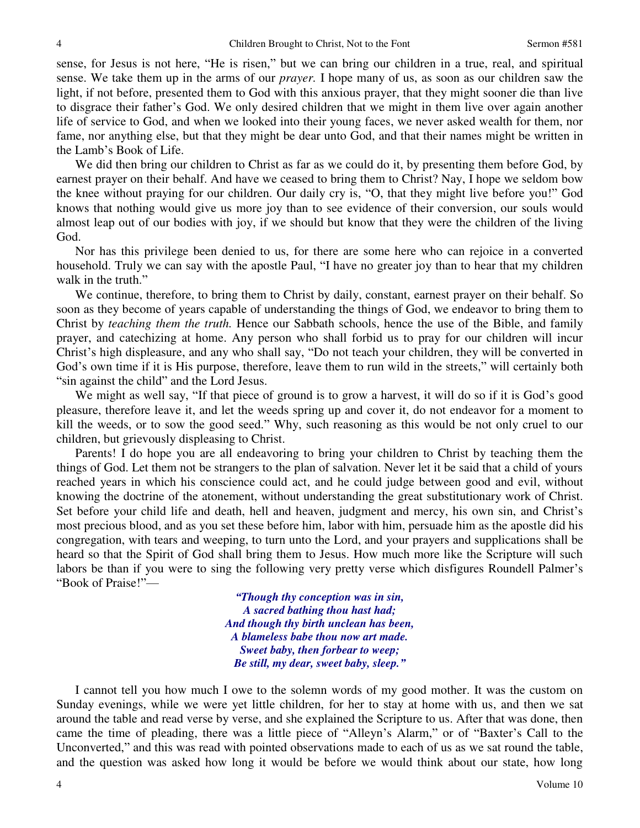sense, for Jesus is not here, "He is risen," but we can bring our children in a true, real, and spiritual sense. We take them up in the arms of our *prayer.* I hope many of us, as soon as our children saw the light, if not before, presented them to God with this anxious prayer, that they might sooner die than live to disgrace their father's God. We only desired children that we might in them live over again another life of service to God, and when we looked into their young faces, we never asked wealth for them, nor fame, nor anything else, but that they might be dear unto God, and that their names might be written in the Lamb's Book of Life.

We did then bring our children to Christ as far as we could do it, by presenting them before God, by earnest prayer on their behalf. And have we ceased to bring them to Christ? Nay, I hope we seldom bow the knee without praying for our children. Our daily cry is, "O, that they might live before you!" God knows that nothing would give us more joy than to see evidence of their conversion, our souls would almost leap out of our bodies with joy, if we should but know that they were the children of the living God.

Nor has this privilege been denied to us, for there are some here who can rejoice in a converted household. Truly we can say with the apostle Paul, "I have no greater joy than to hear that my children walk in the truth."

We continue, therefore, to bring them to Christ by daily, constant, earnest prayer on their behalf. So soon as they become of years capable of understanding the things of God, we endeavor to bring them to Christ by *teaching them the truth.* Hence our Sabbath schools, hence the use of the Bible, and family prayer, and catechizing at home. Any person who shall forbid us to pray for our children will incur Christ's high displeasure, and any who shall say, "Do not teach your children, they will be converted in God's own time if it is His purpose, therefore, leave them to run wild in the streets," will certainly both "sin against the child" and the Lord Jesus.

We might as well say, "If that piece of ground is to grow a harvest, it will do so if it is God's good pleasure, therefore leave it, and let the weeds spring up and cover it, do not endeavor for a moment to kill the weeds, or to sow the good seed." Why, such reasoning as this would be not only cruel to our children, but grievously displeasing to Christ.

Parents! I do hope you are all endeavoring to bring your children to Christ by teaching them the things of God. Let them not be strangers to the plan of salvation. Never let it be said that a child of yours reached years in which his conscience could act, and he could judge between good and evil, without knowing the doctrine of the atonement, without understanding the great substitutionary work of Christ. Set before your child life and death, hell and heaven, judgment and mercy, his own sin, and Christ's most precious blood, and as you set these before him, labor with him, persuade him as the apostle did his congregation, with tears and weeping, to turn unto the Lord, and your prayers and supplications shall be heard so that the Spirit of God shall bring them to Jesus. How much more like the Scripture will such labors be than if you were to sing the following very pretty verse which disfigures Roundell Palmer's "Book of Praise!"—

> *"Though thy conception was in sin, A sacred bathing thou hast had; And though thy birth unclean has been, A blameless babe thou now art made. Sweet baby, then forbear to weep; Be still, my dear, sweet baby, sleep."*

I cannot tell you how much I owe to the solemn words of my good mother. It was the custom on Sunday evenings, while we were yet little children, for her to stay at home with us, and then we sat around the table and read verse by verse, and she explained the Scripture to us. After that was done, then came the time of pleading, there was a little piece of "Alleyn's Alarm," or of "Baxter's Call to the Unconverted," and this was read with pointed observations made to each of us as we sat round the table, and the question was asked how long it would be before we would think about our state, how long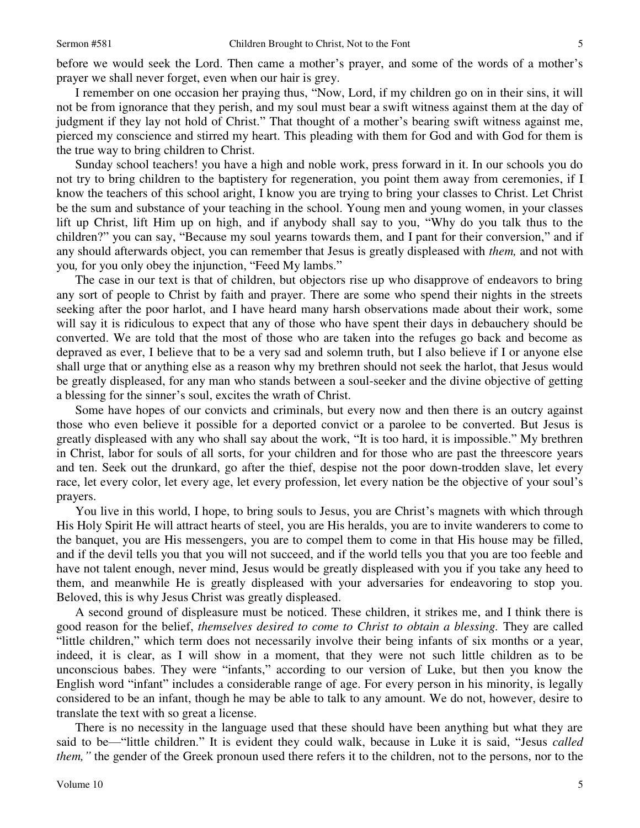before we would seek the Lord. Then came a mother's prayer, and some of the words of a mother's prayer we shall never forget, even when our hair is grey.

I remember on one occasion her praying thus, "Now, Lord, if my children go on in their sins, it will not be from ignorance that they perish, and my soul must bear a swift witness against them at the day of judgment if they lay not hold of Christ." That thought of a mother's bearing swift witness against me, pierced my conscience and stirred my heart. This pleading with them for God and with God for them is the true way to bring children to Christ.

Sunday school teachers! you have a high and noble work, press forward in it. In our schools you do not try to bring children to the baptistery for regeneration, you point them away from ceremonies, if I know the teachers of this school aright, I know you are trying to bring your classes to Christ. Let Christ be the sum and substance of your teaching in the school. Young men and young women, in your classes lift up Christ, lift Him up on high, and if anybody shall say to you, "Why do you talk thus to the children?" you can say, "Because my soul yearns towards them, and I pant for their conversion," and if any should afterwards object, you can remember that Jesus is greatly displeased with *them,* and not with you*,* for you only obey the injunction, "Feed My lambs."

The case in our text is that of children, but objectors rise up who disapprove of endeavors to bring any sort of people to Christ by faith and prayer. There are some who spend their nights in the streets seeking after the poor harlot, and I have heard many harsh observations made about their work, some will say it is ridiculous to expect that any of those who have spent their days in debauchery should be converted. We are told that the most of those who are taken into the refuges go back and become as depraved as ever, I believe that to be a very sad and solemn truth, but I also believe if I or anyone else shall urge that or anything else as a reason why my brethren should not seek the harlot, that Jesus would be greatly displeased, for any man who stands between a soul-seeker and the divine objective of getting a blessing for the sinner's soul, excites the wrath of Christ.

Some have hopes of our convicts and criminals, but every now and then there is an outcry against those who even believe it possible for a deported convict or a parolee to be converted. But Jesus is greatly displeased with any who shall say about the work, "It is too hard, it is impossible." My brethren in Christ, labor for souls of all sorts, for your children and for those who are past the threescore years and ten. Seek out the drunkard, go after the thief, despise not the poor down-trodden slave, let every race, let every color, let every age, let every profession, let every nation be the objective of your soul's prayers.

You live in this world, I hope, to bring souls to Jesus, you are Christ's magnets with which through His Holy Spirit He will attract hearts of steel, you are His heralds, you are to invite wanderers to come to the banquet, you are His messengers, you are to compel them to come in that His house may be filled, and if the devil tells you that you will not succeed, and if the world tells you that you are too feeble and have not talent enough, never mind, Jesus would be greatly displeased with you if you take any heed to them, and meanwhile He is greatly displeased with your adversaries for endeavoring to stop you. Beloved, this is why Jesus Christ was greatly displeased.

A second ground of displeasure must be noticed. These children, it strikes me, and I think there is good reason for the belief, *themselves desired to come to Christ to obtain a blessing.* They are called "little children," which term does not necessarily involve their being infants of six months or a year, indeed, it is clear, as I will show in a moment, that they were not such little children as to be unconscious babes. They were "infants," according to our version of Luke, but then you know the English word "infant" includes a considerable range of age. For every person in his minority, is legally considered to be an infant, though he may be able to talk to any amount. We do not, however, desire to translate the text with so great a license.

There is no necessity in the language used that these should have been anything but what they are said to be—"little children." It is evident they could walk, because in Luke it is said, "Jesus *called them*, " the gender of the Greek pronoun used there refers it to the children, not to the persons, nor to the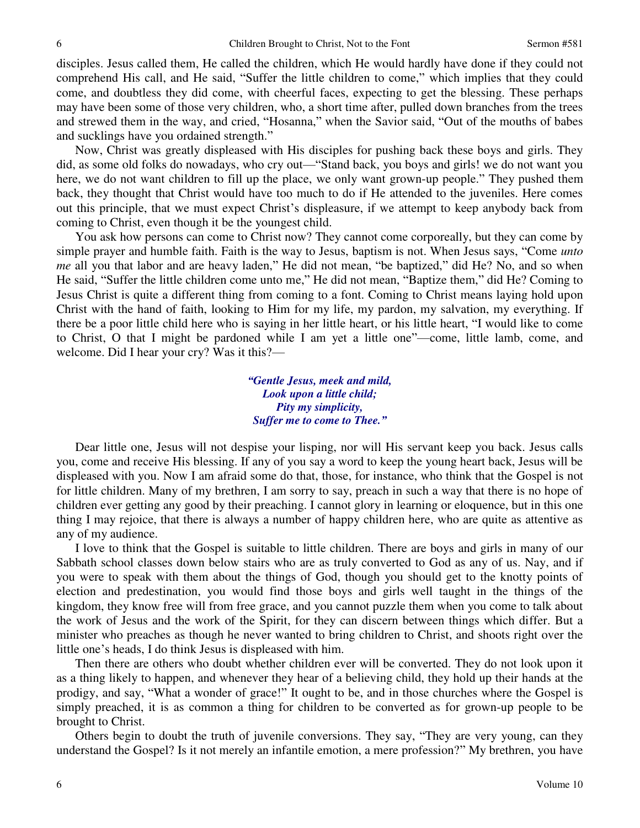disciples. Jesus called them, He called the children, which He would hardly have done if they could not comprehend His call, and He said, "Suffer the little children to come," which implies that they could come, and doubtless they did come, with cheerful faces, expecting to get the blessing. These perhaps may have been some of those very children, who, a short time after, pulled down branches from the trees and strewed them in the way, and cried, "Hosanna," when the Savior said, "Out of the mouths of babes and sucklings have you ordained strength."

Now, Christ was greatly displeased with His disciples for pushing back these boys and girls. They did, as some old folks do nowadays, who cry out—"Stand back, you boys and girls! we do not want you here, we do not want children to fill up the place, we only want grown-up people." They pushed them back, they thought that Christ would have too much to do if He attended to the juveniles. Here comes out this principle, that we must expect Christ's displeasure, if we attempt to keep anybody back from coming to Christ, even though it be the youngest child.

You ask how persons can come to Christ now? They cannot come corporeally, but they can come by simple prayer and humble faith. Faith is the way to Jesus, baptism is not. When Jesus says, "Come *unto me* all you that labor and are heavy laden," He did not mean, "be baptized," did He? No, and so when He said, "Suffer the little children come unto me," He did not mean, "Baptize them," did He? Coming to Jesus Christ is quite a different thing from coming to a font. Coming to Christ means laying hold upon Christ with the hand of faith, looking to Him for my life, my pardon, my salvation, my everything. If there be a poor little child here who is saying in her little heart, or his little heart, "I would like to come to Christ, O that I might be pardoned while I am yet a little one"—come, little lamb, come, and welcome. Did I hear your cry? Was it this?—

> *"Gentle Jesus, meek and mild, Look upon a little child; Pity my simplicity, Suffer me to come to Thee."*

Dear little one, Jesus will not despise your lisping, nor will His servant keep you back. Jesus calls you, come and receive His blessing. If any of you say a word to keep the young heart back, Jesus will be displeased with you. Now I am afraid some do that, those, for instance, who think that the Gospel is not for little children. Many of my brethren, I am sorry to say, preach in such a way that there is no hope of children ever getting any good by their preaching. I cannot glory in learning or eloquence, but in this one thing I may rejoice, that there is always a number of happy children here, who are quite as attentive as any of my audience.

I love to think that the Gospel is suitable to little children. There are boys and girls in many of our Sabbath school classes down below stairs who are as truly converted to God as any of us. Nay, and if you were to speak with them about the things of God, though you should get to the knotty points of election and predestination, you would find those boys and girls well taught in the things of the kingdom, they know free will from free grace, and you cannot puzzle them when you come to talk about the work of Jesus and the work of the Spirit, for they can discern between things which differ. But a minister who preaches as though he never wanted to bring children to Christ, and shoots right over the little one's heads, I do think Jesus is displeased with him.

Then there are others who doubt whether children ever will be converted. They do not look upon it as a thing likely to happen, and whenever they hear of a believing child, they hold up their hands at the prodigy, and say, "What a wonder of grace!" It ought to be, and in those churches where the Gospel is simply preached, it is as common a thing for children to be converted as for grown-up people to be brought to Christ.

Others begin to doubt the truth of juvenile conversions. They say, "They are very young, can they understand the Gospel? Is it not merely an infantile emotion, a mere profession?" My brethren, you have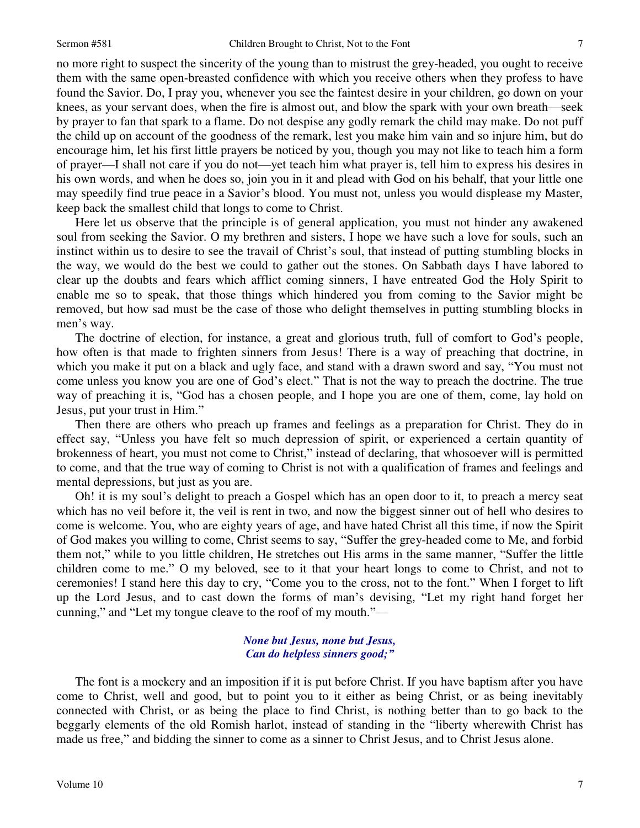no more right to suspect the sincerity of the young than to mistrust the grey-headed, you ought to receive them with the same open-breasted confidence with which you receive others when they profess to have found the Savior. Do, I pray you, whenever you see the faintest desire in your children, go down on your knees, as your servant does, when the fire is almost out, and blow the spark with your own breath—seek by prayer to fan that spark to a flame. Do not despise any godly remark the child may make. Do not puff the child up on account of the goodness of the remark, lest you make him vain and so injure him, but do encourage him, let his first little prayers be noticed by you, though you may not like to teach him a form of prayer—I shall not care if you do not—yet teach him what prayer is, tell him to express his desires in his own words, and when he does so, join you in it and plead with God on his behalf, that your little one may speedily find true peace in a Savior's blood. You must not, unless you would displease my Master, keep back the smallest child that longs to come to Christ.

Here let us observe that the principle is of general application, you must not hinder any awakened soul from seeking the Savior. O my brethren and sisters, I hope we have such a love for souls, such an instinct within us to desire to see the travail of Christ's soul, that instead of putting stumbling blocks in the way, we would do the best we could to gather out the stones. On Sabbath days I have labored to clear up the doubts and fears which afflict coming sinners, I have entreated God the Holy Spirit to enable me so to speak, that those things which hindered you from coming to the Savior might be removed, but how sad must be the case of those who delight themselves in putting stumbling blocks in men's way.

The doctrine of election, for instance, a great and glorious truth, full of comfort to God's people, how often is that made to frighten sinners from Jesus! There is a way of preaching that doctrine, in which you make it put on a black and ugly face, and stand with a drawn sword and say, "You must not come unless you know you are one of God's elect." That is not the way to preach the doctrine. The true way of preaching it is, "God has a chosen people, and I hope you are one of them, come, lay hold on Jesus, put your trust in Him."

Then there are others who preach up frames and feelings as a preparation for Christ. They do in effect say, "Unless you have felt so much depression of spirit, or experienced a certain quantity of brokenness of heart, you must not come to Christ," instead of declaring, that whosoever will is permitted to come, and that the true way of coming to Christ is not with a qualification of frames and feelings and mental depressions, but just as you are.

Oh! it is my soul's delight to preach a Gospel which has an open door to it, to preach a mercy seat which has no veil before it, the veil is rent in two, and now the biggest sinner out of hell who desires to come is welcome. You, who are eighty years of age, and have hated Christ all this time, if now the Spirit of God makes you willing to come, Christ seems to say, "Suffer the grey-headed come to Me, and forbid them not," while to you little children, He stretches out His arms in the same manner, "Suffer the little children come to me." O my beloved, see to it that your heart longs to come to Christ, and not to ceremonies! I stand here this day to cry, "Come you to the cross, not to the font." When I forget to lift up the Lord Jesus, and to cast down the forms of man's devising, "Let my right hand forget her cunning," and "Let my tongue cleave to the roof of my mouth."—

## *None but Jesus, none but Jesus, Can do helpless sinners good;"*

The font is a mockery and an imposition if it is put before Christ. If you have baptism after you have come to Christ, well and good, but to point you to it either as being Christ, or as being inevitably connected with Christ, or as being the place to find Christ, is nothing better than to go back to the beggarly elements of the old Romish harlot, instead of standing in the "liberty wherewith Christ has made us free," and bidding the sinner to come as a sinner to Christ Jesus, and to Christ Jesus alone.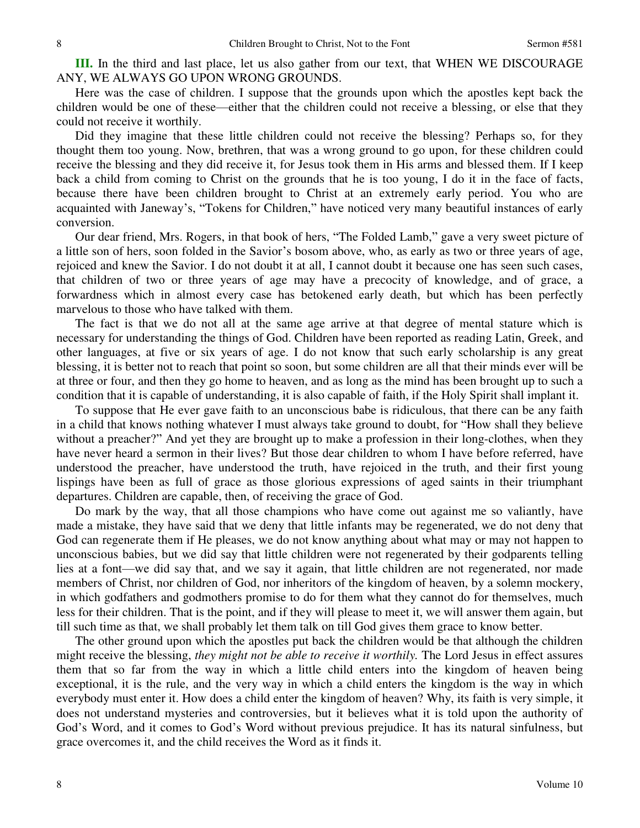**III.** In the third and last place, let us also gather from our text, that WHEN WE DISCOURAGE ANY, WE ALWAYS GO UPON WRONG GROUNDS.

Here was the case of children. I suppose that the grounds upon which the apostles kept back the children would be one of these—either that the children could not receive a blessing, or else that they could not receive it worthily.

Did they imagine that these little children could not receive the blessing? Perhaps so, for they thought them too young. Now, brethren, that was a wrong ground to go upon, for these children could receive the blessing and they did receive it, for Jesus took them in His arms and blessed them. If I keep back a child from coming to Christ on the grounds that he is too young, I do it in the face of facts, because there have been children brought to Christ at an extremely early period. You who are acquainted with Janeway's, "Tokens for Children," have noticed very many beautiful instances of early conversion.

Our dear friend, Mrs. Rogers, in that book of hers, "The Folded Lamb," gave a very sweet picture of a little son of hers, soon folded in the Savior's bosom above, who, as early as two or three years of age, rejoiced and knew the Savior. I do not doubt it at all, I cannot doubt it because one has seen such cases, that children of two or three years of age may have a precocity of knowledge, and of grace, a forwardness which in almost every case has betokened early death, but which has been perfectly marvelous to those who have talked with them.

The fact is that we do not all at the same age arrive at that degree of mental stature which is necessary for understanding the things of God. Children have been reported as reading Latin, Greek, and other languages, at five or six years of age. I do not know that such early scholarship is any great blessing, it is better not to reach that point so soon, but some children are all that their minds ever will be at three or four, and then they go home to heaven, and as long as the mind has been brought up to such a condition that it is capable of understanding, it is also capable of faith, if the Holy Spirit shall implant it.

To suppose that He ever gave faith to an unconscious babe is ridiculous, that there can be any faith in a child that knows nothing whatever I must always take ground to doubt, for "How shall they believe without a preacher?" And yet they are brought up to make a profession in their long-clothes, when they have never heard a sermon in their lives? But those dear children to whom I have before referred, have understood the preacher, have understood the truth, have rejoiced in the truth, and their first young lispings have been as full of grace as those glorious expressions of aged saints in their triumphant departures. Children are capable, then, of receiving the grace of God.

Do mark by the way, that all those champions who have come out against me so valiantly, have made a mistake, they have said that we deny that little infants may be regenerated, we do not deny that God can regenerate them if He pleases, we do not know anything about what may or may not happen to unconscious babies, but we did say that little children were not regenerated by their godparents telling lies at a font—we did say that, and we say it again, that little children are not regenerated, nor made members of Christ, nor children of God, nor inheritors of the kingdom of heaven, by a solemn mockery, in which godfathers and godmothers promise to do for them what they cannot do for themselves, much less for their children. That is the point, and if they will please to meet it, we will answer them again, but till such time as that, we shall probably let them talk on till God gives them grace to know better.

The other ground upon which the apostles put back the children would be that although the children might receive the blessing, *they might not be able to receive it worthily.* The Lord Jesus in effect assures them that so far from the way in which a little child enters into the kingdom of heaven being exceptional, it is the rule, and the very way in which a child enters the kingdom is the way in which everybody must enter it. How does a child enter the kingdom of heaven? Why, its faith is very simple, it does not understand mysteries and controversies, but it believes what it is told upon the authority of God's Word, and it comes to God's Word without previous prejudice. It has its natural sinfulness, but grace overcomes it, and the child receives the Word as it finds it.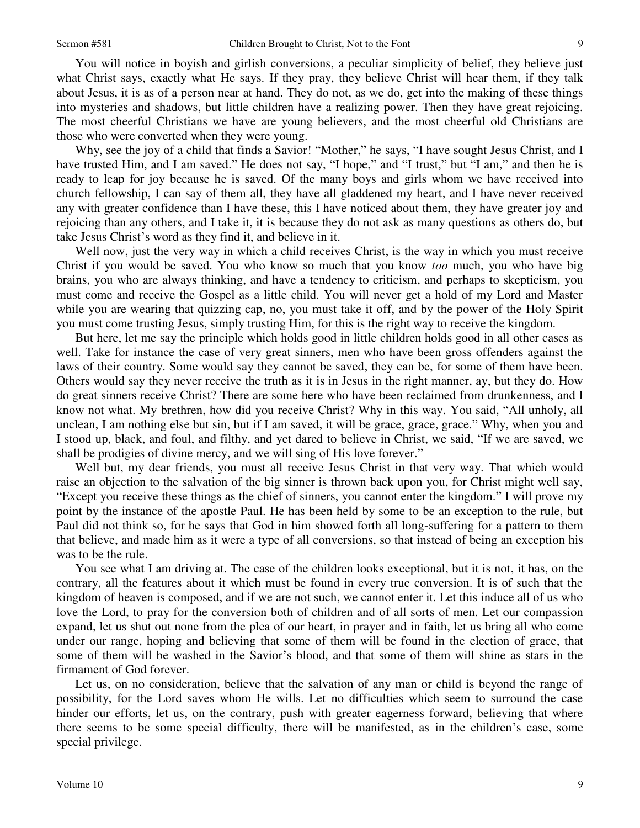You will notice in boyish and girlish conversions, a peculiar simplicity of belief, they believe just what Christ says, exactly what He says. If they pray, they believe Christ will hear them, if they talk about Jesus, it is as of a person near at hand. They do not, as we do, get into the making of these things into mysteries and shadows, but little children have a realizing power. Then they have great rejoicing. The most cheerful Christians we have are young believers, and the most cheerful old Christians are those who were converted when they were young.

Why, see the joy of a child that finds a Savior! "Mother," he says, "I have sought Jesus Christ, and I have trusted Him, and I am saved." He does not say, "I hope," and "I trust," but "I am," and then he is ready to leap for joy because he is saved. Of the many boys and girls whom we have received into church fellowship, I can say of them all, they have all gladdened my heart, and I have never received any with greater confidence than I have these, this I have noticed about them, they have greater joy and rejoicing than any others, and I take it, it is because they do not ask as many questions as others do, but take Jesus Christ's word as they find it, and believe in it.

Well now, just the very way in which a child receives Christ, is the way in which you must receive Christ if you would be saved. You who know so much that you know *too* much, you who have big brains, you who are always thinking, and have a tendency to criticism, and perhaps to skepticism, you must come and receive the Gospel as a little child. You will never get a hold of my Lord and Master while you are wearing that quizzing cap, no, you must take it off, and by the power of the Holy Spirit you must come trusting Jesus, simply trusting Him, for this is the right way to receive the kingdom.

But here, let me say the principle which holds good in little children holds good in all other cases as well. Take for instance the case of very great sinners, men who have been gross offenders against the laws of their country. Some would say they cannot be saved, they can be, for some of them have been. Others would say they never receive the truth as it is in Jesus in the right manner, ay, but they do. How do great sinners receive Christ? There are some here who have been reclaimed from drunkenness, and I know not what. My brethren, how did you receive Christ? Why in this way. You said, "All unholy, all unclean, I am nothing else but sin, but if I am saved, it will be grace, grace, grace." Why, when you and I stood up, black, and foul, and filthy, and yet dared to believe in Christ, we said, "If we are saved, we shall be prodigies of divine mercy, and we will sing of His love forever."

Well but, my dear friends, you must all receive Jesus Christ in that very way. That which would raise an objection to the salvation of the big sinner is thrown back upon you, for Christ might well say, "Except you receive these things as the chief of sinners, you cannot enter the kingdom." I will prove my point by the instance of the apostle Paul. He has been held by some to be an exception to the rule, but Paul did not think so, for he says that God in him showed forth all long-suffering for a pattern to them that believe, and made him as it were a type of all conversions, so that instead of being an exception his was to be the rule.

You see what I am driving at. The case of the children looks exceptional, but it is not, it has, on the contrary, all the features about it which must be found in every true conversion. It is of such that the kingdom of heaven is composed, and if we are not such, we cannot enter it. Let this induce all of us who love the Lord, to pray for the conversion both of children and of all sorts of men. Let our compassion expand, let us shut out none from the plea of our heart, in prayer and in faith, let us bring all who come under our range, hoping and believing that some of them will be found in the election of grace, that some of them will be washed in the Savior's blood, and that some of them will shine as stars in the firmament of God forever.

Let us, on no consideration, believe that the salvation of any man or child is beyond the range of possibility, for the Lord saves whom He wills. Let no difficulties which seem to surround the case hinder our efforts, let us, on the contrary, push with greater eagerness forward, believing that where there seems to be some special difficulty, there will be manifested, as in the children's case, some special privilege.